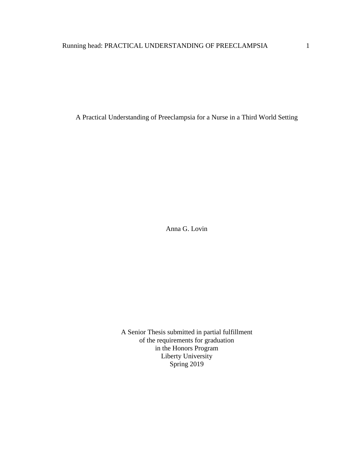A Practical Understanding of Preeclampsia for a Nurse in a Third World Setting

Anna G. Lovin

A Senior Thesis submitted in partial fulfillment of the requirements for graduation in the Honors Program Liberty University Spring 2019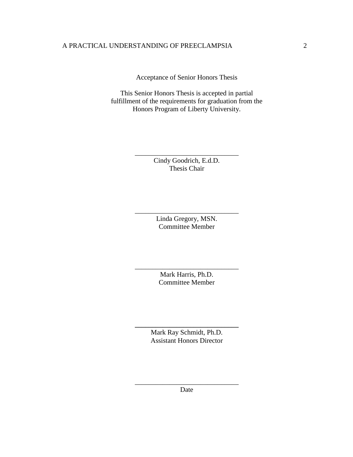Acceptance of Senior Honors Thesis

This Senior Honors Thesis is accepted in partial fulfillment of the requirements for graduation from the Honors Program of Liberty University.

> Cindy Goodrich, E.d.D. Thesis Chair

\_\_\_\_\_\_\_\_\_\_\_\_\_\_\_\_\_\_\_\_\_\_\_\_\_\_\_\_\_\_

Linda Gregory, MSN. Committee Member

\_\_\_\_\_\_\_\_\_\_\_\_\_\_\_\_\_\_\_\_\_\_\_\_\_\_\_\_\_\_

Mark Harris, Ph.D. Committee Member

\_\_\_\_\_\_\_\_\_\_\_\_\_\_\_\_\_\_\_\_\_\_\_\_\_\_\_\_\_\_

Mark Ray Schmidt, Ph.D. Assistant Honors Director

**\_\_\_\_\_\_\_\_\_\_\_\_\_\_\_\_\_\_\_\_\_\_\_\_\_\_\_\_\_\_**

\_\_\_\_\_\_\_\_\_\_\_\_\_\_\_\_\_\_\_\_\_\_\_\_\_\_\_\_\_\_ Date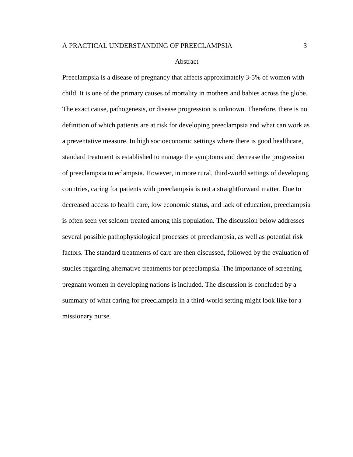### Abstract

Preeclampsia is a disease of pregnancy that affects approximately 3-5% of women with child. It is one of the primary causes of mortality in mothers and babies across the globe. The exact cause, pathogenesis, or disease progression is unknown. Therefore, there is no definition of which patients are at risk for developing preeclampsia and what can work as a preventative measure. In high socioeconomic settings where there is good healthcare, standard treatment is established to manage the symptoms and decrease the progression of preeclampsia to eclampsia. However, in more rural, third-world settings of developing countries, caring for patients with preeclampsia is not a straightforward matter. Due to decreased access to health care, low economic status, and lack of education, preeclampsia is often seen yet seldom treated among this population. The discussion below addresses several possible pathophysiological processes of preeclampsia, as well as potential risk factors. The standard treatments of care are then discussed, followed by the evaluation of studies regarding alternative treatments for preeclampsia. The importance of screening pregnant women in developing nations is included. The discussion is concluded by a summary of what caring for preeclampsia in a third-world setting might look like for a missionary nurse.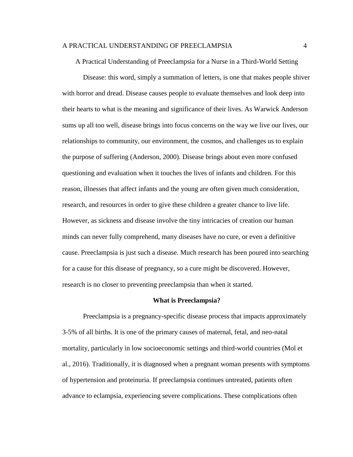A Practical Understanding of Preeclampsia for a Nurse in a Third-World Setting

Disease: this word, simply a summation of letters, is one that makes people shiver with horror and dread. Disease causes people to evaluate themselves and look deep into their hearts to what is the meaning and significance of their lives. As Warwick Anderson sums up all too well, disease brings into focus concerns on the way we live our lives, our relationships to community, our environment, the cosmos, and challenges us to explain the purpose of suffering (Anderson, 2000). Disease brings about even more confused questioning and evaluation when it touches the lives of infants and children. For this reason, illnesses that affect infants and the young are often given much consideration, research, and resources in order to give these children a greater chance to live life. However, as sickness and disease involve the tiny intricacies of creation our human minds can never fully comprehend, many diseases have no cure, or even a definitive cause. Preeclampsia is just such a disease. Much research has been poured into searching for a cause for this disease of pregnancy, so a cure might be discovered. However, research is no closer to preventing preeclampsia than when it started.

#### **What is Preeclampsia?**

Preeclampsia is a pregnancy-specific disease process that impacts approximately 3-5% of all births. It is one of the primary causes of maternal, fetal, and neo-natal mortality, particularly in low socioeconomic settings and third-world countries (Mol et al., 2016). Traditionally, it is diagnosed when a pregnant woman presents with symptoms of hypertension and proteinuria. If preeclampsia continues untreated, patients often advance to eclampsia, experiencing severe complications. These complications often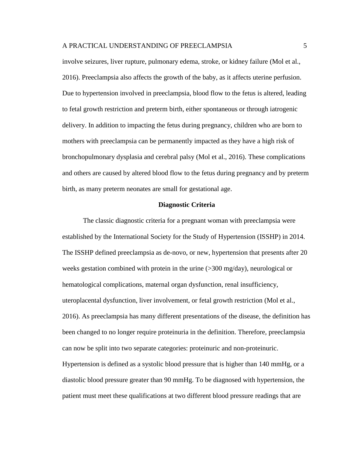involve seizures, liver rupture, pulmonary edema, stroke, or kidney failure (Mol et al., 2016). Preeclampsia also affects the growth of the baby, as it affects uterine perfusion. Due to hypertension involved in preeclampsia, blood flow to the fetus is altered, leading to fetal growth restriction and preterm birth, either spontaneous or through iatrogenic delivery. In addition to impacting the fetus during pregnancy, children who are born to mothers with preeclampsia can be permanently impacted as they have a high risk of bronchopulmonary dysplasia and cerebral palsy (Mol et al., 2016). These complications and others are caused by altered blood flow to the fetus during pregnancy and by preterm birth, as many preterm neonates are small for gestational age.

## **Diagnostic Criteria**

The classic diagnostic criteria for a pregnant woman with preeclampsia were established by the International Society for the Study of Hypertension (ISSHP) in 2014. The ISSHP defined preeclampsia as de-novo, or new, hypertension that presents after 20 weeks gestation combined with protein in the urine (>300 mg/day), neurological or hematological complications, maternal organ dysfunction, renal insufficiency, uteroplacental dysfunction, liver involvement, or fetal growth restriction (Mol et al., 2016). As preeclampsia has many different presentations of the disease, the definition has been changed to no longer require proteinuria in the definition. Therefore, preeclampsia can now be split into two separate categories: proteinuric and non-proteinuric. Hypertension is defined as a systolic blood pressure that is higher than 140 mmHg, or a

diastolic blood pressure greater than 90 mmHg. To be diagnosed with hypertension, the patient must meet these qualifications at two different blood pressure readings that are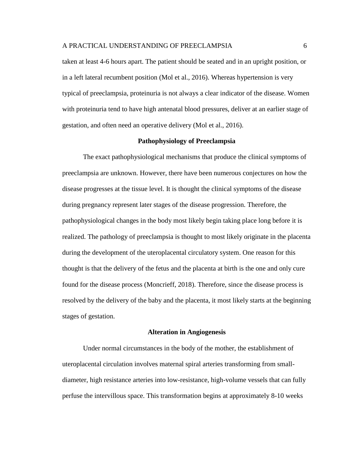taken at least 4-6 hours apart. The patient should be seated and in an upright position, or in a left lateral recumbent position (Mol et al., 2016). Whereas hypertension is very typical of preeclampsia, proteinuria is not always a clear indicator of the disease. Women with proteinuria tend to have high antenatal blood pressures, deliver at an earlier stage of gestation, and often need an operative delivery (Mol et al., 2016).

## **Pathophysiology of Preeclampsia**

The exact pathophysiological mechanisms that produce the clinical symptoms of preeclampsia are unknown. However, there have been numerous conjectures on how the disease progresses at the tissue level. It is thought the clinical symptoms of the disease during pregnancy represent later stages of the disease progression. Therefore, the pathophysiological changes in the body most likely begin taking place long before it is realized. The pathology of preeclampsia is thought to most likely originate in the placenta during the development of the uteroplacental circulatory system. One reason for this thought is that the delivery of the fetus and the placenta at birth is the one and only cure found for the disease process (Moncrieff, 2018). Therefore, since the disease process is resolved by the delivery of the baby and the placenta, it most likely starts at the beginning stages of gestation.

#### **Alteration in Angiogenesis**

Under normal circumstances in the body of the mother, the establishment of uteroplacental circulation involves maternal spiral arteries transforming from smalldiameter, high resistance arteries into low-resistance, high-volume vessels that can fully perfuse the intervillous space. This transformation begins at approximately 8-10 weeks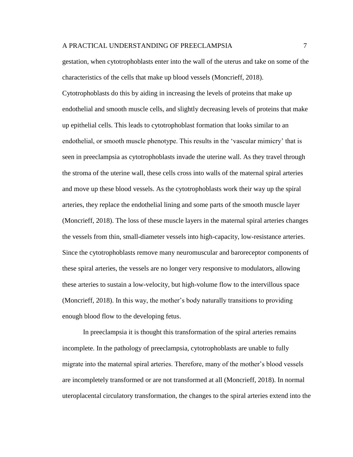gestation, when cytotrophoblasts enter into the wall of the uterus and take on some of the characteristics of the cells that make up blood vessels (Moncrieff, 2018).

Cytotrophoblasts do this by aiding in increasing the levels of proteins that make up endothelial and smooth muscle cells, and slightly decreasing levels of proteins that make up epithelial cells. This leads to cytotrophoblast formation that looks similar to an endothelial, or smooth muscle phenotype. This results in the 'vascular mimicry' that is seen in preeclampsia as cytotrophoblasts invade the uterine wall. As they travel through the stroma of the uterine wall, these cells cross into walls of the maternal spiral arteries and move up these blood vessels. As the cytotrophoblasts work their way up the spiral arteries, they replace the endothelial lining and some parts of the smooth muscle layer (Moncrieff, 2018). The loss of these muscle layers in the maternal spiral arteries changes the vessels from thin, small-diameter vessels into high-capacity, low-resistance arteries. Since the cytotrophoblasts remove many neuromuscular and baroreceptor components of these spiral arteries, the vessels are no longer very responsive to modulators, allowing these arteries to sustain a low-velocity, but high-volume flow to the intervillous space (Moncrieff, 2018). In this way, the mother's body naturally transitions to providing enough blood flow to the developing fetus.

In preeclampsia it is thought this transformation of the spiral arteries remains incomplete. In the pathology of preeclampsia, cytotrophoblasts are unable to fully migrate into the maternal spiral arteries. Therefore, many of the mother's blood vessels are incompletely transformed or are not transformed at all (Moncrieff, 2018). In normal uteroplacental circulatory transformation, the changes to the spiral arteries extend into the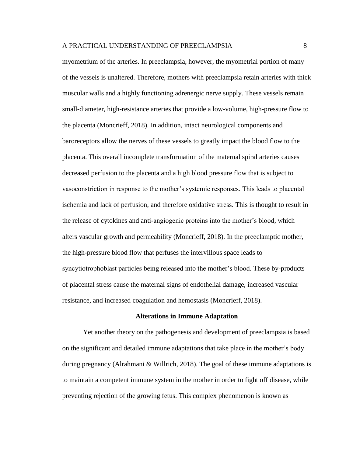myometrium of the arteries. In preeclampsia, however, the myometrial portion of many of the vessels is unaltered. Therefore, mothers with preeclampsia retain arteries with thick muscular walls and a highly functioning adrenergic nerve supply. These vessels remain small-diameter, high-resistance arteries that provide a low-volume, high-pressure flow to the placenta (Moncrieff, 2018). In addition, intact neurological components and baroreceptors allow the nerves of these vessels to greatly impact the blood flow to the placenta. This overall incomplete transformation of the maternal spiral arteries causes decreased perfusion to the placenta and a high blood pressure flow that is subject to vasoconstriction in response to the mother's systemic responses. This leads to placental ischemia and lack of perfusion, and therefore oxidative stress. This is thought to result in the release of cytokines and anti-angiogenic proteins into the mother's blood, which alters vascular growth and permeability (Moncrieff, 2018). In the preeclamptic mother, the high-pressure blood flow that perfuses the intervillous space leads to syncytiotrophoblast particles being released into the mother's blood. These by-products of placental stress cause the maternal signs of endothelial damage, increased vascular resistance, and increased coagulation and hemostasis (Moncrieff, 2018).

#### **Alterations in Immune Adaptation**

Yet another theory on the pathogenesis and development of preeclampsia is based on the significant and detailed immune adaptations that take place in the mother's body during pregnancy (Alrahmani & Willrich, 2018). The goal of these immune adaptations is to maintain a competent immune system in the mother in order to fight off disease, while preventing rejection of the growing fetus. This complex phenomenon is known as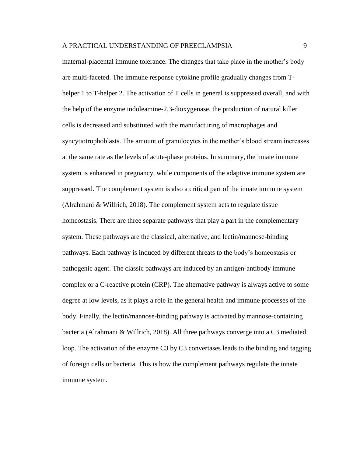maternal-placental immune tolerance. The changes that take place in the mother's body are multi-faceted. The immune response cytokine profile gradually changes from Thelper 1 to T-helper 2. The activation of T cells in general is suppressed overall, and with the help of the enzyme indoleamine-2,3-dioxygenase, the production of natural killer cells is decreased and substituted with the manufacturing of macrophages and syncytiotrophoblasts. The amount of granulocytes in the mother's blood stream increases at the same rate as the levels of acute-phase proteins. In summary, the innate immune system is enhanced in pregnancy, while components of the adaptive immune system are suppressed. The complement system is also a critical part of the innate immune system (Alrahmani & Willrich, 2018). The complement system acts to regulate tissue homeostasis. There are three separate pathways that play a part in the complementary system. These pathways are the classical, alternative, and lectin/mannose-binding pathways. Each pathway is induced by different threats to the body's homeostasis or pathogenic agent. The classic pathways are induced by an antigen-antibody immune complex or a C-reactive protein (CRP). The alternative pathway is always active to some degree at low levels, as it plays a role in the general health and immune processes of the body. Finally, the lectin/mannose-binding pathway is activated by mannose-containing bacteria (Alrahmani & Willrich, 2018). All three pathways converge into a C3 mediated loop. The activation of the enzyme C3 by C3 convertases leads to the binding and tagging of foreign cells or bacteria. This is how the complement pathways regulate the innate immune system.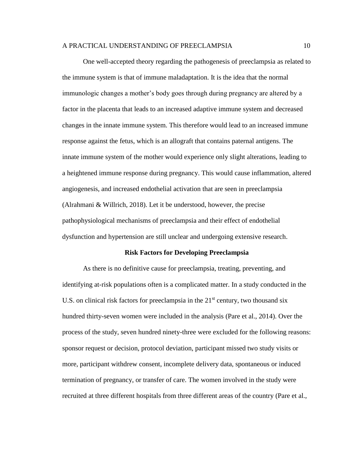One well-accepted theory regarding the pathogenesis of preeclampsia as related to the immune system is that of immune maladaptation. It is the idea that the normal immunologic changes a mother's body goes through during pregnancy are altered by a factor in the placenta that leads to an increased adaptive immune system and decreased changes in the innate immune system. This therefore would lead to an increased immune response against the fetus, which is an allograft that contains paternal antigens. The innate immune system of the mother would experience only slight alterations, leading to a heightened immune response during pregnancy. This would cause inflammation, altered angiogenesis, and increased endothelial activation that are seen in preeclampsia (Alrahmani & Willrich, 2018). Let it be understood, however, the precise pathophysiological mechanisms of preeclampsia and their effect of endothelial dysfunction and hypertension are still unclear and undergoing extensive research.

### **Risk Factors for Developing Preeclampsia**

As there is no definitive cause for preeclampsia, treating, preventing, and identifying at-risk populations often is a complicated matter. In a study conducted in the U.S. on clinical risk factors for preeclampsia in the  $21<sup>st</sup>$  century, two thousand six hundred thirty-seven women were included in the analysis (Pare et al., 2014). Over the process of the study, seven hundred ninety-three were excluded for the following reasons: sponsor request or decision, protocol deviation, participant missed two study visits or more, participant withdrew consent, incomplete delivery data, spontaneous or induced termination of pregnancy, or transfer of care. The women involved in the study were recruited at three different hospitals from three different areas of the country (Pare et al.,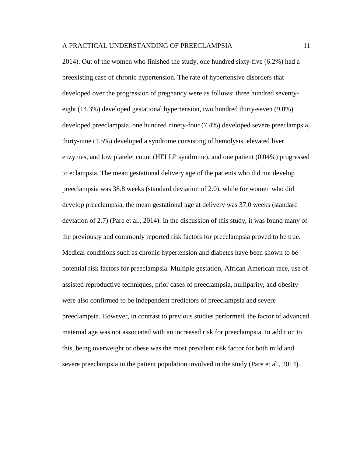2014). Out of the women who finished the study, one hundred sixty-five (6.2%) had a preexisting case of chronic hypertension. The rate of hypertensive disorders that developed over the progression of pregnancy were as follows: three hundred seventyeight (14.3%) developed gestational hypertension, two hundred thirty-seven (9.0%) developed preeclampsia, one hundred ninety-four (7.4%) developed severe preeclampsia, thirty-nine (1.5%) developed a syndrome consisting of hemolysis, elevated liver enzymes, and low platelet count (HELLP syndrome), and one patient (0.04%) progressed to eclampsia. The mean gestational delivery age of the patients who did not develop preeclampsia was 38.8 weeks (standard deviation of 2.0), while for women who did develop preeclampsia, the mean gestational age at delivery was 37.0 weeks (standard deviation of 2.7) (Pare et al., 2014). In the discussion of this study, it was found many of the previously and commonly reported risk factors for preeclampsia proved to be true. Medical conditions such as chronic hypertension and diabetes have been shown to be potential risk factors for preeclampsia. Multiple gestation, African American race, use of assisted reproductive techniques, prior cases of preeclampsia, nulliparity, and obesity were also confirmed to be independent predictors of preeclampsia and severe preeclampsia. However, in contrast to previous studies performed, the factor of advanced maternal age was not associated with an increased risk for preeclampsia. In addition to this, being overweight or obese was the most prevalent risk factor for both mild and severe preeclampsia in the patient population involved in the study (Pare et al., 2014).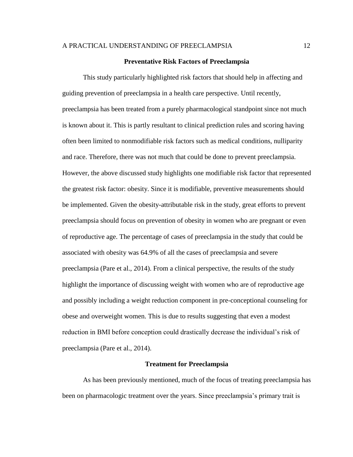## **Preventative Risk Factors of Preeclampsia**

This study particularly highlighted risk factors that should help in affecting and guiding prevention of preeclampsia in a health care perspective. Until recently, preeclampsia has been treated from a purely pharmacological standpoint since not much is known about it. This is partly resultant to clinical prediction rules and scoring having often been limited to nonmodifiable risk factors such as medical conditions, nulliparity and race. Therefore, there was not much that could be done to prevent preeclampsia. However, the above discussed study highlights one modifiable risk factor that represented the greatest risk factor: obesity. Since it is modifiable, preventive measurements should be implemented. Given the obesity-attributable risk in the study, great efforts to prevent preeclampsia should focus on prevention of obesity in women who are pregnant or even of reproductive age. The percentage of cases of preeclampsia in the study that could be associated with obesity was 64.9% of all the cases of preeclampsia and severe preeclampsia (Pare et al., 2014). From a clinical perspective, the results of the study highlight the importance of discussing weight with women who are of reproductive age and possibly including a weight reduction component in pre-conceptional counseling for obese and overweight women. This is due to results suggesting that even a modest reduction in BMI before conception could drastically decrease the individual's risk of preeclampsia (Pare et al., 2014).

### **Treatment for Preeclampsia**

As has been previously mentioned, much of the focus of treating preeclampsia has been on pharmacologic treatment over the years. Since preeclampsia's primary trait is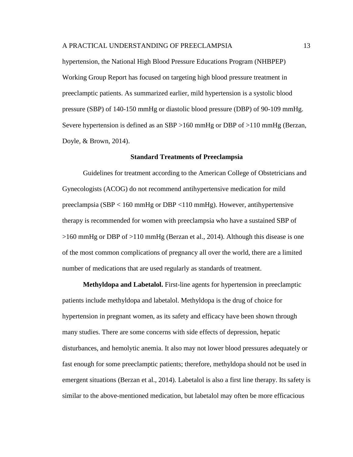hypertension, the National High Blood Pressure Educations Program (NHBPEP) Working Group Report has focused on targeting high blood pressure treatment in preeclamptic patients. As summarized earlier, mild hypertension is a systolic blood pressure (SBP) of 140-150 mmHg or diastolic blood pressure (DBP) of 90-109 mmHg. Severe hypertension is defined as an SBP >160 mmHg or DBP of >110 mmHg (Berzan, Doyle, & Brown, 2014).

#### **Standard Treatments of Preeclampsia**

Guidelines for treatment according to the American College of Obstetricians and Gynecologists (ACOG) do not recommend antihypertensive medication for mild preeclampsia (SBP < 160 mmHg or DBP <110 mmHg). However, antihypertensive therapy is recommended for women with preeclampsia who have a sustained SBP of >160 mmHg or DBP of >110 mmHg (Berzan et al., 2014). Although this disease is one of the most common complications of pregnancy all over the world, there are a limited number of medications that are used regularly as standards of treatment.

**Methyldopa and Labetalol.** First-line agents for hypertension in preeclamptic patients include methyldopa and labetalol. Methyldopa is the drug of choice for hypertension in pregnant women, as its safety and efficacy have been shown through many studies. There are some concerns with side effects of depression, hepatic disturbances, and hemolytic anemia. It also may not lower blood pressures adequately or fast enough for some preeclamptic patients; therefore, methyldopa should not be used in emergent situations (Berzan et al., 2014). Labetalol is also a first line therapy. Its safety is similar to the above-mentioned medication, but labetalol may often be more efficacious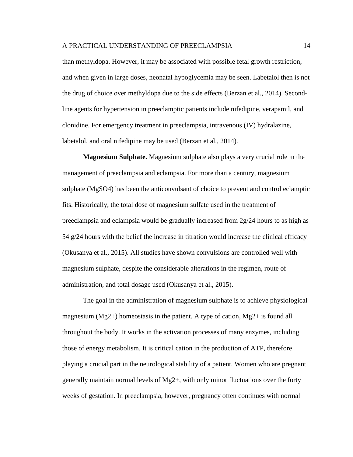than methyldopa. However, it may be associated with possible fetal growth restriction, and when given in large doses, neonatal hypoglycemia may be seen. Labetalol then is not the drug of choice over methyldopa due to the side effects (Berzan et al., 2014). Secondline agents for hypertension in preeclamptic patients include nifedipine, verapamil, and clonidine. For emergency treatment in preeclampsia, intravenous (IV) hydralazine, labetalol, and oral nifedipine may be used (Berzan et al., 2014).

**Magnesium Sulphate.** Magnesium sulphate also plays a very crucial role in the management of preeclampsia and eclampsia. For more than a century, magnesium sulphate (MgSO4) has been the anticonvulsant of choice to prevent and control eclamptic fits. Historically, the total dose of magnesium sulfate used in the treatment of preeclampsia and eclampsia would be gradually increased from  $2g/24$  hours to as high as 54 g/24 hours with the belief the increase in titration would increase the clinical efficacy (Okusanya et al., 2015). All studies have shown convulsions are controlled well with magnesium sulphate, despite the considerable alterations in the regimen, route of administration, and total dosage used (Okusanya et al., 2015).

The goal in the administration of magnesium sulphate is to achieve physiological magnesium (Mg2+) homeostasis in the patient. A type of cation, Mg2+ is found all throughout the body. It works in the activation processes of many enzymes, including those of energy metabolism. It is critical cation in the production of ATP, therefore playing a crucial part in the neurological stability of a patient. Women who are pregnant generally maintain normal levels of Mg2+, with only minor fluctuations over the forty weeks of gestation. In preeclampsia, however, pregnancy often continues with normal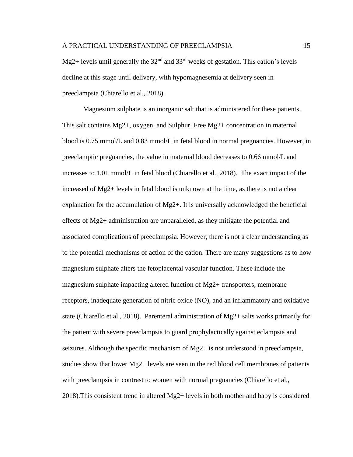Mg2+ levels until generally the  $32<sup>nd</sup>$  and  $33<sup>rd</sup>$  weeks of gestation. This cation's levels decline at this stage until delivery, with hypomagnesemia at delivery seen in preeclampsia (Chiarello et al., 2018).

Magnesium sulphate is an inorganic salt that is administered for these patients. This salt contains Mg2+, oxygen, and Sulphur. Free Mg2+ concentration in maternal blood is 0.75 mmol/L and 0.83 mmol/L in fetal blood in normal pregnancies. However, in preeclamptic pregnancies, the value in maternal blood decreases to 0.66 mmol/L and increases to 1.01 mmol/L in fetal blood (Chiarello et al., 2018). The exact impact of the increased of Mg2+ levels in fetal blood is unknown at the time, as there is not a clear explanation for the accumulation of Mg2+. It is universally acknowledged the beneficial effects of Mg2+ administration are unparalleled, as they mitigate the potential and associated complications of preeclampsia. However, there is not a clear understanding as to the potential mechanisms of action of the cation. There are many suggestions as to how magnesium sulphate alters the fetoplacental vascular function. These include the magnesium sulphate impacting altered function of Mg2+ transporters, membrane receptors, inadequate generation of nitric oxide (NO), and an inflammatory and oxidative state (Chiarello et al., 2018). Parenteral administration of Mg2+ salts works primarily for the patient with severe preeclampsia to guard prophylactically against eclampsia and seizures. Although the specific mechanism of Mg2+ is not understood in preeclampsia, studies show that lower  $Mg2+$  levels are seen in the red blood cell membranes of patients with preeclampsia in contrast to women with normal pregnancies (Chiarello et al., 2018).This consistent trend in altered Mg2+ levels in both mother and baby is considered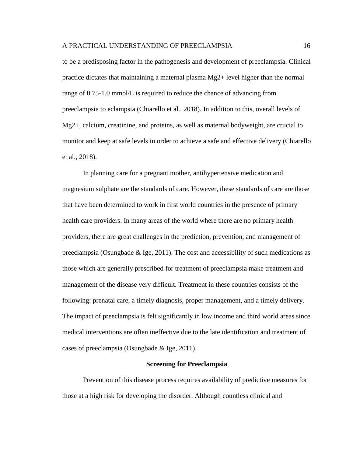to be a predisposing factor in the pathogenesis and development of preeclampsia. Clinical practice dictates that maintaining a maternal plasma Mg2+ level higher than the normal range of 0.75-1.0 mmol/L is required to reduce the chance of advancing from preeclampsia to eclampsia (Chiarello et al., 2018). In addition to this, overall levels of Mg2+, calcium, creatinine, and proteins, as well as maternal bodyweight, are crucial to monitor and keep at safe levels in order to achieve a safe and effective delivery (Chiarello et al., 2018).

In planning care for a pregnant mother, antihypertensive medication and magnesium sulphate are the standards of care. However, these standards of care are those that have been determined to work in first world countries in the presence of primary health care providers. In many areas of the world where there are no primary health providers, there are great challenges in the prediction, prevention, and management of preeclampsia (Osungbade  $\&$  Ige, 2011). The cost and accessibility of such medications as those which are generally prescribed for treatment of preeclampsia make treatment and management of the disease very difficult. Treatment in these countries consists of the following: prenatal care, a timely diagnosis, proper management, and a timely delivery. The impact of preeclampsia is felt significantly in low income and third world areas since medical interventions are often ineffective due to the late identification and treatment of cases of preeclampsia (Osungbade & Ige, 2011).

#### **Screening for Preeclampsia**

Prevention of this disease process requires availability of predictive measures for those at a high risk for developing the disorder. Although countless clinical and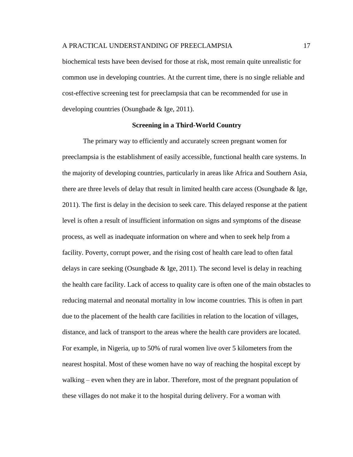biochemical tests have been devised for those at risk, most remain quite unrealistic for common use in developing countries. At the current time, there is no single reliable and cost-effective screening test for preeclampsia that can be recommended for use in developing countries (Osungbade & Ige, 2011).

## **Screening in a Third-World Country**

The primary way to efficiently and accurately screen pregnant women for preeclampsia is the establishment of easily accessible, functional health care systems. In the majority of developing countries, particularly in areas like Africa and Southern Asia, there are three levels of delay that result in limited health care access (Osungbade & Ige, 2011). The first is delay in the decision to seek care. This delayed response at the patient level is often a result of insufficient information on signs and symptoms of the disease process, as well as inadequate information on where and when to seek help from a facility. Poverty, corrupt power, and the rising cost of health care lead to often fatal delays in care seeking (Osungbade & Ige, 2011). The second level is delay in reaching the health care facility. Lack of access to quality care is often one of the main obstacles to reducing maternal and neonatal mortality in low income countries. This is often in part due to the placement of the health care facilities in relation to the location of villages, distance, and lack of transport to the areas where the health care providers are located. For example, in Nigeria, up to 50% of rural women live over 5 kilometers from the nearest hospital. Most of these women have no way of reaching the hospital except by walking – even when they are in labor. Therefore, most of the pregnant population of these villages do not make it to the hospital during delivery. For a woman with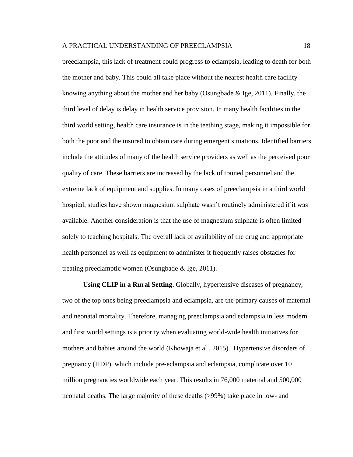preeclampsia, this lack of treatment could progress to eclampsia, leading to death for both the mother and baby. This could all take place without the nearest health care facility knowing anything about the mother and her baby (Osungbade  $\&$  Ige, 2011). Finally, the third level of delay is delay in health service provision. In many health facilities in the third world setting, health care insurance is in the teething stage, making it impossible for both the poor and the insured to obtain care during emergent situations. Identified barriers include the attitudes of many of the health service providers as well as the perceived poor quality of care. These barriers are increased by the lack of trained personnel and the extreme lack of equipment and supplies. In many cases of preeclampsia in a third world hospital, studies have shown magnesium sulphate wasn't routinely administered if it was available. Another consideration is that the use of magnesium sulphate is often limited solely to teaching hospitals. The overall lack of availability of the drug and appropriate health personnel as well as equipment to administer it frequently raises obstacles for treating preeclamptic women (Osungbade & Ige, 2011).

**Using CLIP in a Rural Setting.** Globally, hypertensive diseases of pregnancy, two of the top ones being preeclampsia and eclampsia, are the primary causes of maternal and neonatal mortality. Therefore, managing preeclampsia and eclampsia in less modern and first world settings is a priority when evaluating world-wide health initiatives for mothers and babies around the world (Khowaja et al., 2015). Hypertensive disorders of pregnancy (HDP), which include pre-eclampsia and eclampsia, complicate over 10 million pregnancies worldwide each year. This results in 76,000 maternal and 500,000 neonatal deaths. The large majority of these deaths (>99%) take place in low- and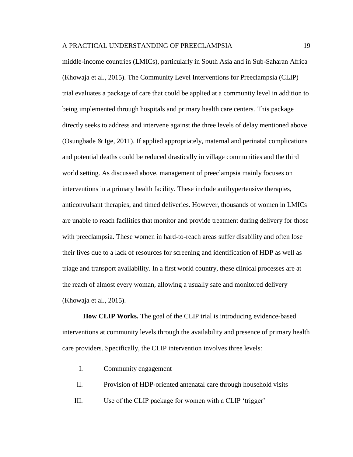middle-income countries (LMICs), particularly in South Asia and in Sub-Saharan Africa (Khowaja et al., 2015). The Community Level Interventions for Preeclampsia (CLIP) trial evaluates a package of care that could be applied at a community level in addition to being implemented through hospitals and primary health care centers. This package directly seeks to address and intervene against the three levels of delay mentioned above (Osungbade & Ige, 2011). If applied appropriately, maternal and perinatal complications and potential deaths could be reduced drastically in village communities and the third world setting. As discussed above, management of preeclampsia mainly focuses on interventions in a primary health facility. These include antihypertensive therapies, anticonvulsant therapies, and timed deliveries. However, thousands of women in LMICs are unable to reach facilities that monitor and provide treatment during delivery for those with preeclampsia. These women in hard-to-reach areas suffer disability and often lose their lives due to a lack of resources for screening and identification of HDP as well as triage and transport availability. In a first world country, these clinical processes are at the reach of almost every woman, allowing a usually safe and monitored delivery (Khowaja et al., 2015).

**How CLIP Works.** The goal of the CLIP trial is introducing evidence-based interventions at community levels through the availability and presence of primary health care providers. Specifically, the CLIP intervention involves three levels:

- I. Community engagement
- II. Provision of HDP-oriented antenatal care through household visits
- III. Use of the CLIP package for women with a CLIP 'trigger'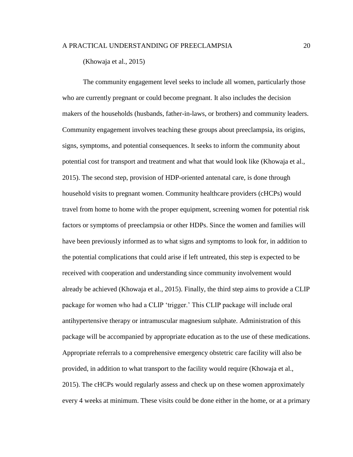(Khowaja et al., 2015)

The community engagement level seeks to include all women, particularly those who are currently pregnant or could become pregnant. It also includes the decision makers of the households (husbands, father-in-laws, or brothers) and community leaders. Community engagement involves teaching these groups about preeclampsia, its origins, signs, symptoms, and potential consequences. It seeks to inform the community about potential cost for transport and treatment and what that would look like (Khowaja et al., 2015). The second step, provision of HDP-oriented antenatal care, is done through household visits to pregnant women. Community healthcare providers (cHCPs) would travel from home to home with the proper equipment, screening women for potential risk factors or symptoms of preeclampsia or other HDPs. Since the women and families will have been previously informed as to what signs and symptoms to look for, in addition to the potential complications that could arise if left untreated, this step is expected to be received with cooperation and understanding since community involvement would already be achieved (Khowaja et al., 2015). Finally, the third step aims to provide a CLIP package for women who had a CLIP 'trigger.' This CLIP package will include oral antihypertensive therapy or intramuscular magnesium sulphate. Administration of this package will be accompanied by appropriate education as to the use of these medications. Appropriate referrals to a comprehensive emergency obstetric care facility will also be provided, in addition to what transport to the facility would require (Khowaja et al., 2015). The cHCPs would regularly assess and check up on these women approximately every 4 weeks at minimum. These visits could be done either in the home, or at a primary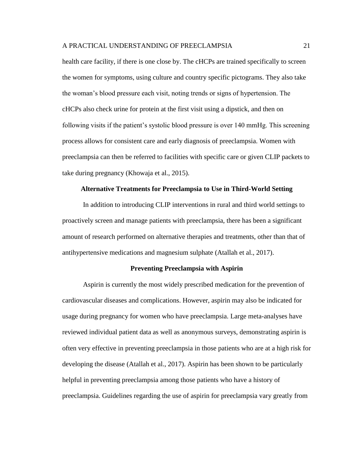health care facility, if there is one close by. The cHCPs are trained specifically to screen the women for symptoms, using culture and country specific pictograms. They also take the woman's blood pressure each visit, noting trends or signs of hypertension. The cHCPs also check urine for protein at the first visit using a dipstick, and then on following visits if the patient's systolic blood pressure is over 140 mmHg. This screening process allows for consistent care and early diagnosis of preeclampsia. Women with preeclampsia can then be referred to facilities with specific care or given CLIP packets to take during pregnancy (Khowaja et al., 2015).

## **Alternative Treatments for Preeclampsia to Use in Third-World Setting**

In addition to introducing CLIP interventions in rural and third world settings to proactively screen and manage patients with preeclampsia, there has been a significant amount of research performed on alternative therapies and treatments, other than that of antihypertensive medications and magnesium sulphate (Atallah et al., 2017).

## **Preventing Preeclampsia with Aspirin**

Aspirin is currently the most widely prescribed medication for the prevention of cardiovascular diseases and complications. However, aspirin may also be indicated for usage during pregnancy for women who have preeclampsia. Large meta-analyses have reviewed individual patient data as well as anonymous surveys, demonstrating aspirin is often very effective in preventing preeclampsia in those patients who are at a high risk for developing the disease (Atallah et al., 2017). Aspirin has been shown to be particularly helpful in preventing preeclampsia among those patients who have a history of preeclampsia. Guidelines regarding the use of aspirin for preeclampsia vary greatly from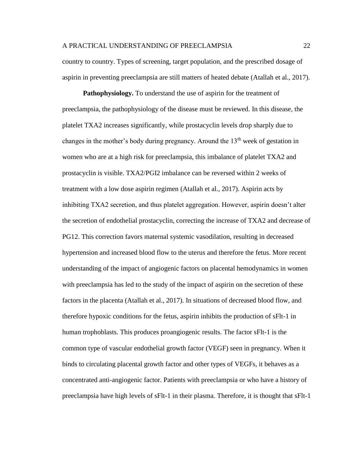country to country. Types of screening, target population, and the prescribed dosage of aspirin in preventing preeclampsia are still matters of heated debate (Atallah et al., 2017).

**Pathophysiology.** To understand the use of aspirin for the treatment of preeclampsia, the pathophysiology of the disease must be reviewed. In this disease, the platelet TXA2 increases significantly, while prostacyclin levels drop sharply due to changes in the mother's body during pregnancy. Around the  $13<sup>th</sup>$  week of gestation in women who are at a high risk for preeclampsia, this imbalance of platelet TXA2 and prostacyclin is visible. TXA2/PGI2 imbalance can be reversed within 2 weeks of treatment with a low dose aspirin regimen (Atallah et al., 2017). Aspirin acts by inhibiting TXA2 secretion, and thus platelet aggregation. However, aspirin doesn't alter the secretion of endothelial prostacyclin, correcting the increase of TXA2 and decrease of PG12. This correction favors maternal systemic vasodilation, resulting in decreased hypertension and increased blood flow to the uterus and therefore the fetus. More recent understanding of the impact of angiogenic factors on placental hemodynamics in women with preeclampsia has led to the study of the impact of aspirin on the secretion of these factors in the placenta (Atallah et al., 2017). In situations of decreased blood flow, and therefore hypoxic conditions for the fetus, aspirin inhibits the production of sFlt-1 in human trophoblasts. This produces proangiogenic results. The factor sFlt-1 is the common type of vascular endothelial growth factor (VEGF) seen in pregnancy. When it binds to circulating placental growth factor and other types of VEGFs, it behaves as a concentrated anti-angiogenic factor. Patients with preeclampsia or who have a history of preeclampsia have high levels of sFlt-1 in their plasma. Therefore, it is thought that sFlt-1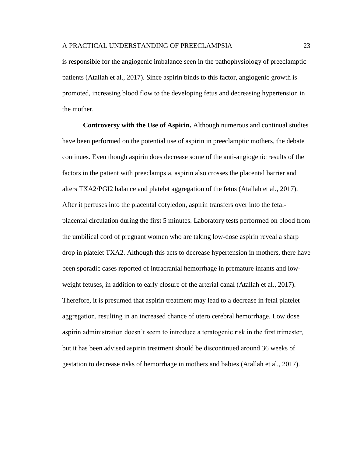is responsible for the angiogenic imbalance seen in the pathophysiology of preeclamptic patients (Atallah et al., 2017). Since aspirin binds to this factor, angiogenic growth is promoted, increasing blood flow to the developing fetus and decreasing hypertension in the mother.

**Controversy with the Use of Aspirin.** Although numerous and continual studies have been performed on the potential use of aspirin in preeclamptic mothers, the debate continues. Even though aspirin does decrease some of the anti-angiogenic results of the factors in the patient with preeclampsia, aspirin also crosses the placental barrier and alters TXA2/PGI2 balance and platelet aggregation of the fetus (Atallah et al., 2017). After it perfuses into the placental cotyledon, aspirin transfers over into the fetalplacental circulation during the first 5 minutes. Laboratory tests performed on blood from the umbilical cord of pregnant women who are taking low-dose aspirin reveal a sharp drop in platelet TXA2. Although this acts to decrease hypertension in mothers, there have been sporadic cases reported of intracranial hemorrhage in premature infants and lowweight fetuses, in addition to early closure of the arterial canal (Atallah et al., 2017). Therefore, it is presumed that aspirin treatment may lead to a decrease in fetal platelet aggregation, resulting in an increased chance of utero cerebral hemorrhage. Low dose aspirin administration doesn't seem to introduce a teratogenic risk in the first trimester, but it has been advised aspirin treatment should be discontinued around 36 weeks of gestation to decrease risks of hemorrhage in mothers and babies (Atallah et al., 2017).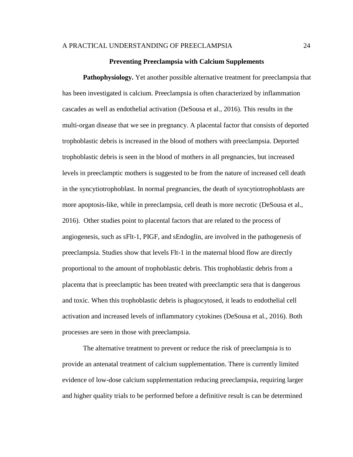## **Preventing Preeclampsia with Calcium Supplements**

**Pathophysiology.** Yet another possible alternative treatment for preeclampsia that has been investigated is calcium. Preeclampsia is often characterized by inflammation cascades as well as endothelial activation (DeSousa et al., 2016). This results in the multi-organ disease that we see in pregnancy. A placental factor that consists of deported trophoblastic debris is increased in the blood of mothers with preeclampsia. Deported trophoblastic debris is seen in the blood of mothers in all pregnancies, but increased levels in preeclamptic mothers is suggested to be from the nature of increased cell death in the syncytiotrophoblast. In normal pregnancies, the death of syncytiotrophoblasts are more apoptosis-like, while in preeclampsia, cell death is more necrotic (DeSousa et al., 2016). Other studies point to placental factors that are related to the process of angiogenesis, such as sFlt-1, PIGF, and sEndoglin, are involved in the pathogenesis of preeclampsia. Studies show that levels Flt-1 in the maternal blood flow are directly proportional to the amount of trophoblastic debris. This trophoblastic debris from a placenta that is preeclamptic has been treated with preeclamptic sera that is dangerous and toxic. When this trophoblastic debris is phagocytosed, it leads to endothelial cell activation and increased levels of inflammatory cytokines (DeSousa et al., 2016). Both processes are seen in those with preeclampsia.

The alternative treatment to prevent or reduce the risk of preeclampsia is to provide an antenatal treatment of calcium supplementation. There is currently limited evidence of low-dose calcium supplementation reducing preeclampsia, requiring larger and higher quality trials to be performed before a definitive result is can be determined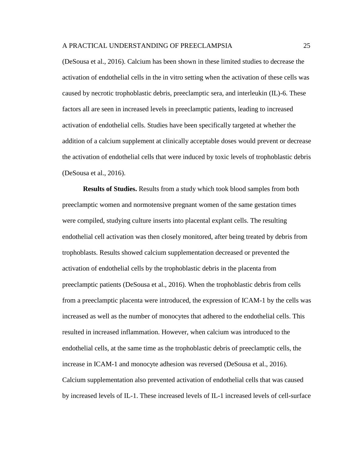(DeSousa et al., 2016). Calcium has been shown in these limited studies to decrease the activation of endothelial cells in the in vitro setting when the activation of these cells was caused by necrotic trophoblastic debris, preeclamptic sera, and interleukin (IL)-6. These factors all are seen in increased levels in preeclamptic patients, leading to increased activation of endothelial cells. Studies have been specifically targeted at whether the addition of a calcium supplement at clinically acceptable doses would prevent or decrease the activation of endothelial cells that were induced by toxic levels of trophoblastic debris (DeSousa et al., 2016).

**Results of Studies.** Results from a study which took blood samples from both preeclamptic women and normotensive pregnant women of the same gestation times were compiled, studying culture inserts into placental explant cells. The resulting endothelial cell activation was then closely monitored, after being treated by debris from trophoblasts. Results showed calcium supplementation decreased or prevented the activation of endothelial cells by the trophoblastic debris in the placenta from preeclamptic patients (DeSousa et al., 2016). When the trophoblastic debris from cells from a preeclamptic placenta were introduced, the expression of ICAM-1 by the cells was increased as well as the number of monocytes that adhered to the endothelial cells. This resulted in increased inflammation. However, when calcium was introduced to the endothelial cells, at the same time as the trophoblastic debris of preeclamptic cells, the increase in ICAM-1 and monocyte adhesion was reversed (DeSousa et al., 2016). Calcium supplementation also prevented activation of endothelial cells that was caused by increased levels of IL-1. These increased levels of IL-1 increased levels of cell-surface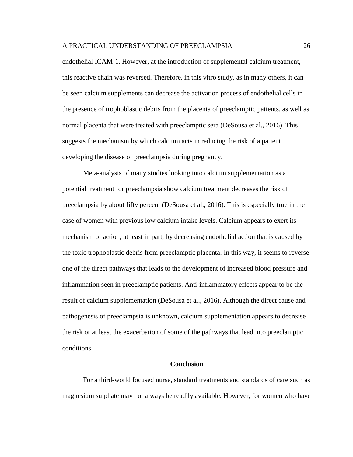endothelial ICAM-1. However, at the introduction of supplemental calcium treatment, this reactive chain was reversed. Therefore, in this vitro study, as in many others, it can be seen calcium supplements can decrease the activation process of endothelial cells in the presence of trophoblastic debris from the placenta of preeclamptic patients, as well as normal placenta that were treated with preeclamptic sera (DeSousa et al., 2016). This suggests the mechanism by which calcium acts in reducing the risk of a patient developing the disease of preeclampsia during pregnancy.

Meta-analysis of many studies looking into calcium supplementation as a potential treatment for preeclampsia show calcium treatment decreases the risk of preeclampsia by about fifty percent (DeSousa et al., 2016). This is especially true in the case of women with previous low calcium intake levels. Calcium appears to exert its mechanism of action, at least in part, by decreasing endothelial action that is caused by the toxic trophoblastic debris from preeclamptic placenta. In this way, it seems to reverse one of the direct pathways that leads to the development of increased blood pressure and inflammation seen in preeclamptic patients. Anti-inflammatory effects appear to be the result of calcium supplementation (DeSousa et al., 2016). Although the direct cause and pathogenesis of preeclampsia is unknown, calcium supplementation appears to decrease the risk or at least the exacerbation of some of the pathways that lead into preeclamptic conditions.

#### **Conclusion**

For a third-world focused nurse, standard treatments and standards of care such as magnesium sulphate may not always be readily available. However, for women who have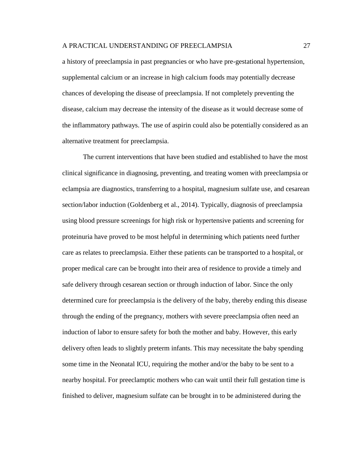a history of preeclampsia in past pregnancies or who have pre-gestational hypertension, supplemental calcium or an increase in high calcium foods may potentially decrease chances of developing the disease of preeclampsia. If not completely preventing the disease, calcium may decrease the intensity of the disease as it would decrease some of the inflammatory pathways. The use of aspirin could also be potentially considered as an alternative treatment for preeclampsia.

The current interventions that have been studied and established to have the most clinical significance in diagnosing, preventing, and treating women with preeclampsia or eclampsia are diagnostics, transferring to a hospital, magnesium sulfate use, and cesarean section/labor induction (Goldenberg et al., 2014). Typically, diagnosis of preeclampsia using blood pressure screenings for high risk or hypertensive patients and screening for proteinuria have proved to be most helpful in determining which patients need further care as relates to preeclampsia. Either these patients can be transported to a hospital, or proper medical care can be brought into their area of residence to provide a timely and safe delivery through cesarean section or through induction of labor. Since the only determined cure for preeclampsia is the delivery of the baby, thereby ending this disease through the ending of the pregnancy, mothers with severe preeclampsia often need an induction of labor to ensure safety for both the mother and baby. However, this early delivery often leads to slightly preterm infants. This may necessitate the baby spending some time in the Neonatal ICU, requiring the mother and/or the baby to be sent to a nearby hospital. For preeclamptic mothers who can wait until their full gestation time is finished to deliver, magnesium sulfate can be brought in to be administered during the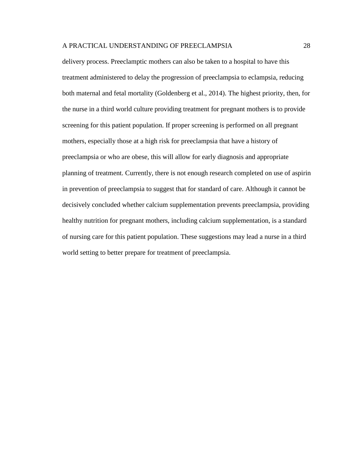delivery process. Preeclamptic mothers can also be taken to a hospital to have this treatment administered to delay the progression of preeclampsia to eclampsia, reducing both maternal and fetal mortality (Goldenberg et al., 2014). The highest priority, then, for the nurse in a third world culture providing treatment for pregnant mothers is to provide screening for this patient population. If proper screening is performed on all pregnant mothers, especially those at a high risk for preeclampsia that have a history of preeclampsia or who are obese, this will allow for early diagnosis and appropriate planning of treatment. Currently, there is not enough research completed on use of aspirin in prevention of preeclampsia to suggest that for standard of care. Although it cannot be decisively concluded whether calcium supplementation prevents preeclampsia, providing healthy nutrition for pregnant mothers, including calcium supplementation, is a standard of nursing care for this patient population. These suggestions may lead a nurse in a third world setting to better prepare for treatment of preeclampsia.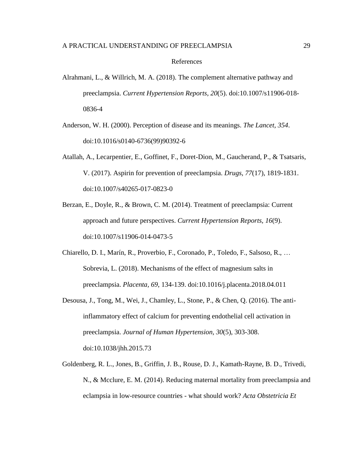### References

- Alrahmani, L., & Willrich, M. A. (2018). The complement alternative pathway and preeclampsia. *Current Hypertension Reports, 20*(5). doi:10.1007/s11906-018- 0836-4
- Anderson, W. H. (2000). Perception of disease and its meanings. *The Lancet, 354*. doi:10.1016/s0140-6736(99)90392-6
- Atallah, A., Lecarpentier, E., Goffinet, F., Doret-Dion, M., Gaucherand, P., & Tsatsaris, V. (2017). Aspirin for prevention of preeclampsia. *Drugs, 77*(17), 1819-1831. doi:10.1007/s40265-017-0823-0
- Berzan, E., Doyle, R., & Brown, C. M. (2014). Treatment of preeclampsia: Current approach and future perspectives. *Current Hypertension Reports, 16*(9). doi:10.1007/s11906-014-0473-5
- Chiarello, D. I., Marín, R., Proverbio, F., Coronado, P., Toledo, F., Salsoso, R., … Sobrevia, L. (2018). Mechanisms of the effect of magnesium salts in preeclampsia. *Placenta, 69*, 134-139. doi:10.1016/j.placenta.2018.04.011
- Desousa, J., Tong, M., Wei, J., Chamley, L., Stone, P., & Chen, Q. (2016). The antiinflammatory effect of calcium for preventing endothelial cell activation in preeclampsia. *Journal of Human Hypertension, 30*(5), 303-308. doi:10.1038/jhh.2015.73
- Goldenberg, R. L., Jones, B., Griffin, J. B., Rouse, D. J., Kamath-Rayne, B. D., Trivedi, N., & Mcclure, E. M. (2014). Reducing maternal mortality from preeclampsia and eclampsia in low-resource countries - what should work? *Acta Obstetricia Et*